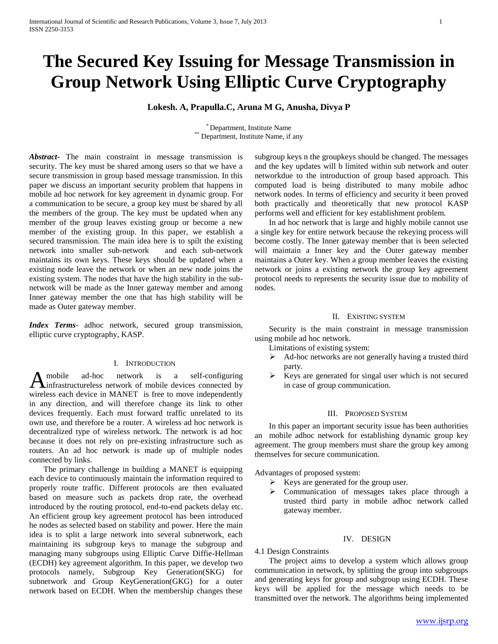# **The Secured Key Issuing for Message Transmission in Group Network Using Elliptic Curve Cryptography**

**Lokesh. A, Prapulla.C, Aruna M G, Anusha, Divya P**

\* Department, Institute Name \*\* Department, Institute Name, if any

*Abstract***-** The main constraint in message transmission is security. The key must be shared among users so that we have a secure transmission in group based message transmission. In this paper we discuss an important security problem that happens in mobile ad hoc network for key agreement in dynamic group. For a communication to be secure, a group key must be shared by all the members of the group. The key must be updated when any member of the group leaves existing group or become a new member of the existing group. In this paper, we establish a secured transmission. The main idea here is to spilt the existing network into smaller sub-network and each sub-network maintains its own keys. These keys should be updated when a existing node leave the network or when an new node joins the existing system. The nodes that have the high stability in the subnetwork will be made as the Inner gateway member and among Inner gateway member the one that has high stability will be made as Outer gateway member.

*Index Terms*- adhoc network, secured group transmission, elliptic curve cryptography, KASP.

## I. INTRODUCTION

mobile ad-hoc network is a self-configuring A mobile ad-hoc network is a self-configuring<br>
infrastructureless network of mobile devices connected by wireless each device in MANET is free to move independently in any direction, and will therefore change its link to other devices frequently. Each must forward traffic unrelated to its own use, and therefore be a router. A wireless ad hoc network is decentralized type of wireless network. The network is ad hoc because it does not rely on pre-existing infrastructure such as routers. An ad hoc network is made up of multiple nodes connected by links.

 The primary challenge in building a MANET is equipping each device to continuously maintain the information required to properly route traffic. Different protocols are then evaluated based on measure such as packets drop rate, the overhead introduced by the routing protocol, end-to-end packets delay etc. An efficient group key agreement protocol has been introduced he nodes as selected based on stability and power. Here the main idea is to split a large network into several subnetwork, each maintaining its subgroup keys to manage the subgroup and managing many subgroups using Elliptic Curve Diffie-Hellman (ECDH) key agreement algorithm. In this paper, we develop two protocols namely, Subgroup Key Generation(SKG) for subnetwork and Group KeyGeneration(GKG) for a outer network based on ECDH. When the membership changes these

subgroup keys n the groupkeys should be changed. The messages and the key updates will b limited within sub network and outer networkdue to the introduction of group based approach. This computed load is being distributed to many mobile adhoc network nodes. In terms of efficiency and security it been proved both practically and theoretically that new protocol KASP performs well and efficient for key establishment problem.

 In ad hoc network that is large and highly mobile cannot use a single key for entire network because the rekeying process will become costly. The Inner gateway member that is been selected will maintain a Inner key and the Outer gateway member maintains a Outer key. When a group member leaves the existing network or joins a existing network the group key agreement protocol needs to represents the security issue due to mobility of nodes.

### II. EXISTING SYSTEM

 Security is the main constraint in message transmission using mobile ad hoc network.

Limitations of existing system:

- Ad-hoc networks are not generally having a trusted third party.
- Keys are generated for singal user which is not secured in case of group communication.

#### III. PROPOSED SYSTEM

 In this paper an important security issue has been authorities an mobile adhoc network for establishing dynamic group key agreement. The group members must share the group key among themselves for secure communication.

Advantages of proposed system:

- $\triangleright$  Keys are generated for the group user.
- Communication of messages takes place through a trusted third party in mobile adhoc network called gateway member.

#### IV. DESIGN

#### 4.1 Design Constraints

 The project aims to develop a system which allows group communication in network, by splitting the group into subgroups and generating keys for group and subgroup using ECDH. These keys will be applied for the message which needs to be transmitted over the network. The algorithms being implemented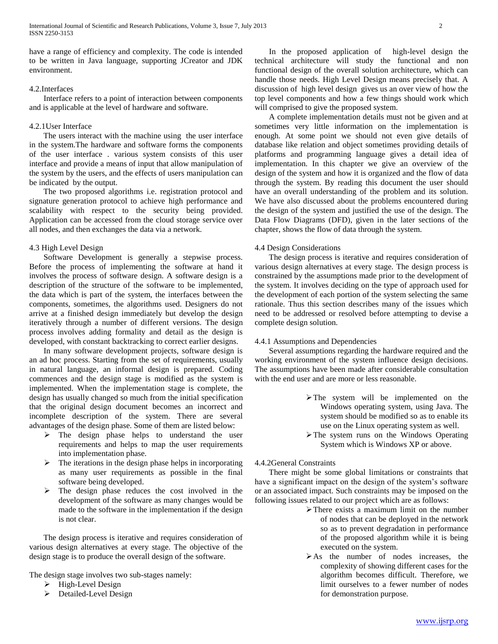have a range of efficiency and complexity. The code is intended to be written in Java language, supporting JCreator and JDK environment.

# 4.2.Interfaces

 Interface refers to a point of interaction between components and is applicable at the level of hardware and software.

## 4.2.1User Interface

 The users interact with the machine using the user interface in the system.The hardware and software forms the components of the user interface . various system consists of this user interface and provide a means of input that allow manipulation of the system by the users, and the effects of users manipulation can be indicated by the output.

 The two proposed algorithms i.e. registration protocol and signature generation protocol to achieve high performance and scalability with respect to the security being provided. Application can be accessed from the cloud storage service over all nodes, and then exchanges the data via a network.

# 4.3 High Level Design

 Software Development is generally a stepwise process. Before the process of implementing the software at hand it involves the process of software design. A software design is a description of the structure of the software to be implemented, the data which is part of the system, the interfaces between the components, sometimes, the algorithms used. Designers do not arrive at a finished design immediately but develop the design iteratively through a number of different versions. The design process involves adding formality and detail as the design is developed, with constant backtracking to correct earlier designs.

 In many software development projects, software design is an ad hoc process. Starting from the set of requirements, usually in natural language, an informal design is prepared. Coding commences and the design stage is modified as the system is implemented. When the implementation stage is complete, the design has usually changed so much from the initial specification that the original design document becomes an incorrect and incomplete description of the system. There are several advantages of the design phase. Some of them are listed below:

- $\triangleright$  The design phase helps to understand the user requirements and helps to map the user requirements into implementation phase.
- $\triangleright$  The iterations in the design phase helps in incorporating as many user requirements as possible in the final software being developed.
- $\triangleright$  The design phase reduces the cost involved in the development of the software as many changes would be made to the software in the implementation if the design is not clear.

 The design process is iterative and requires consideration of various design alternatives at every stage. The objective of the design stage is to produce the overall design of the software.

The design stage involves two sub-stages namely:

- $\triangleright$  High-Level Design
- > Detailed-Level Design

 In the proposed application of high-level design the technical architecture will study the functional and non functional design of the overall solution architecture, which can handle those needs. High Level Design means precisely that. A discussion of high level design gives us an over view of how the top level components and how a few things should work which will comprised to give the proposed system.

 A complete implementation details must not be given and at sometimes very little information on the implementation is enough. At some point we should not even give details of database like relation and object sometimes providing details of platforms and programming language gives a detail idea of implementation. In this chapter we give an overview of the design of the system and how it is organized and the flow of data through the system. By reading this document the user should have an overall understanding of the problem and its solution. We have also discussed about the problems encountered during the design of the system and justified the use of the design. The Data Flow Diagrams (DFD), given in the later sections of the chapter, shows the flow of data through the system.

# 4.4 Design Considerations

 The design process is iterative and requires consideration of various design alternatives at every stage. The design process is constrained by the assumptions made prior to the development of the system. It involves deciding on the type of approach used for the development of each portion of the system selecting the same rationale. Thus this section describes many of the issues which need to be addressed or resolved before attempting to devise a complete design solution.

## 4.4.1 Assumptions and Dependencies

 Several assumptions regarding the hardware required and the working environment of the system influence design decisions. The assumptions have been made after considerable consultation with the end user and are more or less reasonable.

- The system will be implemented on the Windows operating system, using Java. The system should be modified so as to enable its use on the Linux operating system as well.
- $\triangleright$  The system runs on the Windows Operating System which is Windows XP or above.

# 4.4.2General Constraints

 There might be some global limitations or constraints that have a significant impact on the design of the system's software or an associated impact. Such constraints may be imposed on the following issues related to our project which are as follows:

- $\triangleright$  There exists a maximum limit on the number of nodes that can be deployed in the network so as to prevent degradation in performance of the proposed algorithm while it is being executed on the system.
- As the number of nodes increases, the complexity of showing different cases for the algorithm becomes difficult. Therefore, we limit ourselves to a fewer number of nodes for demonstration purpose.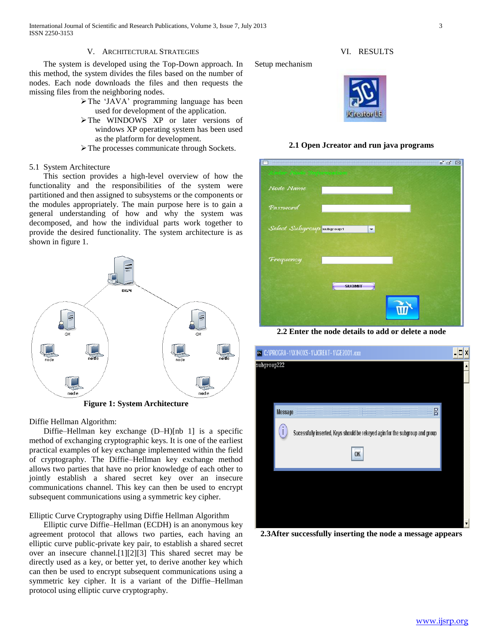International Journal of Scientific and Research Publications, Volume 3, Issue 7, July 2013 3 ISSN 2250-3153

## V. ARCHITECTURAL STRATEGIES

 The system is developed using the Top-Down approach. In this method, the system divides the files based on the number of nodes. Each node downloads the files and then requests the missing files from the neighboring nodes.

- The 'JAVA' programming language has been used for development of the application.
- > The WINDOWS XP or later versions of windows XP operating system has been used as the platform for development.
- The processes communicate through Sockets.

#### 5.1 System Architecture

 This section provides a high-level overview of how the functionality and the responsibilities of the system were partitioned and then assigned to subsystems or the components or the modules appropriately. The main purpose here is to gain a general understanding of how and why the system was decomposed, and how the individual parts work together to provide the desired functionality. The system architecture is as shown in figure 1.



**Figure 1: System Architecture**

Diffie Hellman Algorithm:

 Diffie–Hellman key exchange (D–H)[nb 1] is a specific method of exchanging cryptographic keys. It is one of the earliest practical examples of key exchange implemented within the field of cryptography. The Diffie–Hellman key exchange method allows two parties that have no prior knowledge of each other to jointly establish a shared secret key over an insecure communications channel. This key can then be used to encrypt subsequent communications using a symmetric key cipher.

# Elliptic Curve Cryptography using Diffie Hellman Algorithm

 Elliptic curve Diffie–Hellman (ECDH) is an anonymous key agreement protocol that allows two parties, each having an elliptic curve public-private key pair, to establish a shared secret over an insecure channel.[1][2][3] This shared secret may be directly used as a key, or better yet, to derive another key which can then be used to encrypt subsequent communications using a symmetric key cipher. It is a variant of the Diffie–Hellman protocol using elliptic curve cryptography.

Setup mechanism



VI. RESULTS



| 聯<br>Enter Nede Sinformation | $\begin{array}{c} \mathbb{Z}_n \times \mathbb{Z}_n \end{array}$ | 区 |
|------------------------------|-----------------------------------------------------------------|---|
| Node Name                    |                                                                 |   |
| Password                     |                                                                 |   |
| Select Subgroup subgroup1    | $\blacktriangledown$                                            |   |
|                              |                                                                 |   |
| Frequency                    |                                                                 |   |
|                              | <b>SUBMIT</b>                                                   |   |
|                              |                                                                 |   |

**2.2 Enter the node details to add or delete a node**



**2.3After successfully inserting the node a message appears**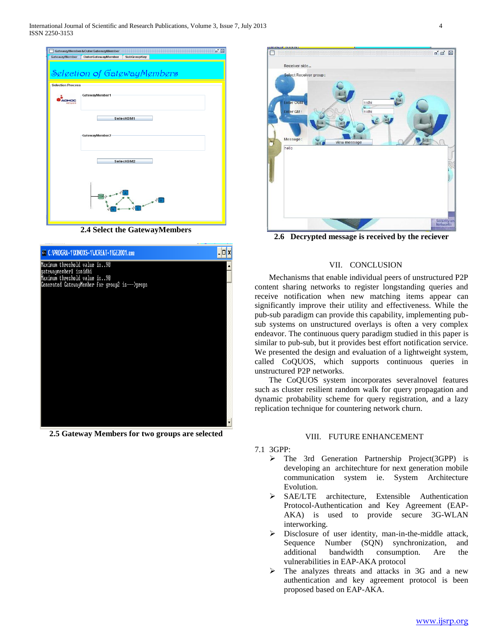International Journal of Scientific and Research Publications, Volume 3, Issue 7, July 2013 4 ISSN 2250-3153



**2.4 Select the GatewayMembers**



**2.5 Gateway Members for two groups are selected**



**2.6 Decrypted message is received by the reciever**

# VII. CONCLUSION

 Mechanisms that enable individual peers of unstructured P2P content sharing networks to register longstanding queries and receive notification when new matching items appear can significantly improve their utility and effectiveness. While the pub-sub paradigm can provide this capability, implementing pubsub systems on unstructured overlays is often a very complex endeavor. The continuous query paradigm studied in this paper is similar to pub-sub, but it provides best effort notification service. We presented the design and evaluation of a lightweight system, called CoQUOS, which supports continuous queries in unstructured P2P networks.

 The CoQUOS system incorporates severalnovel features such as cluster resilient random walk for query propagation and dynamic probability scheme for query registration, and a lazy replication technique for countering network churn.

## VIII. FUTURE ENHANCEMENT

- 7.1 3GPP:
	- $\triangleright$  The 3rd Generation Partnership Project(3GPP) is developing an architechture for next generation mobile communication system ie. System Architecture Evolution.
	- SAE/LTE architecture, Extensible Authentication Protocol-Authentication and Key Agreement (EAP-AKA) is used to provide secure 3G-WLAN interworking.
	- $\triangleright$  Disclosure of user identity, man-in-the-middle attack, Sequence Number (SQN) synchronization, and additional bandwidth consumption. Are the vulnerabilities in EAP-AKA protocol
	- $\triangleright$  The analyzes threats and attacks in 3G and a new authentication and key agreement protocol is been proposed based on EAP-AKA.